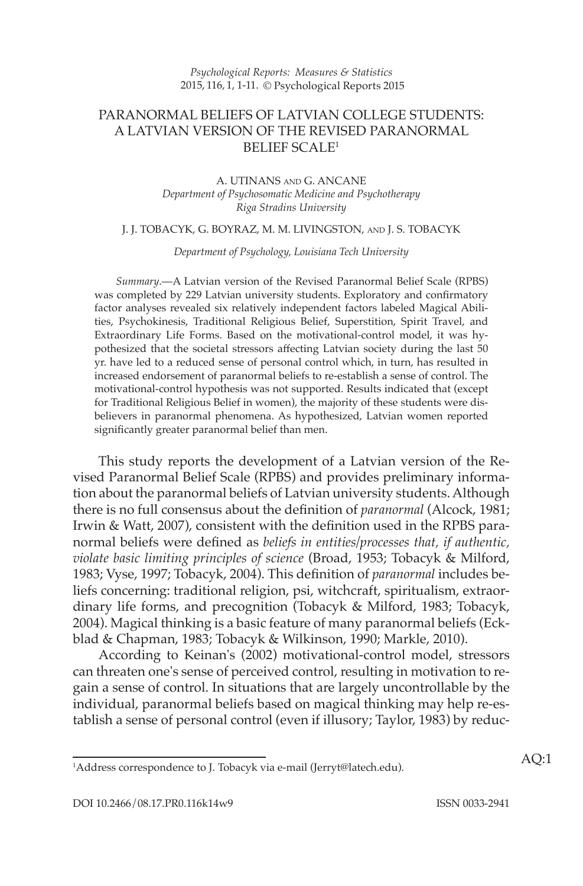# PARANORMAL BELIEFS OF LATVIAN COLLEGE STUDENTS: A LATVIAN VERSION OF THE REVISED PARANORMAL BELIEF  $SCALE<sup>1</sup>$

### A. UTINANS AND G. ANCANE *Department of Psychosomatic Medicine and Psychotherapy Riga Stradins University*

#### J. J. TOBACYK, G. BOYRAZ, M. M. LIVINGSTON, AND J. S. TOBACYK

 *Department of Psychology, Louisiana Tech University* 

*Summary* .— A Latvian version of the Revised Paranormal Belief Scale (RPBS) was completed by 229 Latvian university students. Exploratory and confirmatory factor analyses revealed six relatively independent factors labeled Magical Abilities, Psychokinesis, Traditional Religious Belief, Superstition, Spirit Travel, and Extraordinary Life Forms. Based on the motivational-control model, it was hypothesized that the societal stressors affecting Latvian society during the last 50 yr. have led to a reduced sense of personal control which, in turn, has resulted in increased endorsement of paranormal beliefs to re-establish a sense of control. The motivational-control hypothesis was not supported. Results indicated that (except for Traditional Religious Belief in women), the majority of these students were disbelievers in paranormal phenomena. As hypothesized, Latvian women reported significantly greater paranormal belief than men.

 This study reports the development of a Latvian version of the Revised Paranormal Belief Scale (RPBS) and provides preliminary information about the paranormal beliefs of Latvian university students. Although there is no full consensus about the definition of *paranormal* (Alcock, 1981; Irwin & Watt, 2007), consistent with the definition used in the RPBS paranormal beliefs were defined as *beliefs in entities/processes that, if authentic*, *violate basic limiting principles of science* (Broad, 1953; Tobacyk & Milford, 1983 ; Vyse, 1997 ; Tobacyk, 2004 ). This defi nition of *paranormal* includes beliefs concerning: traditional religion, psi, witchcraft, spiritualism, extraordinary life forms, and precognition (Tobacyk & Milford, 1983; Tobacyk, 2004 ). Magical thinking is a basic feature of many paranormal beliefs ( Eckblad & Chapman, 1983; Tobacyk & Wilkinson, 1990; Markle, 2010).

According to Keinan's (2002) motivational-control model, stressors can threaten one's sense of perceived control, resulting in motivation to regain a sense of control. In situations that are largely uncontrollable by the individual, paranormal beliefs based on magical thinking may help re-establish a sense of personal control (even if illusory; Taylor, 1983 ) by reduc-

<sup>1</sup> Address correspondence to J. Tobacyk via e-mail (Jerryt@latech.edu). AQ:1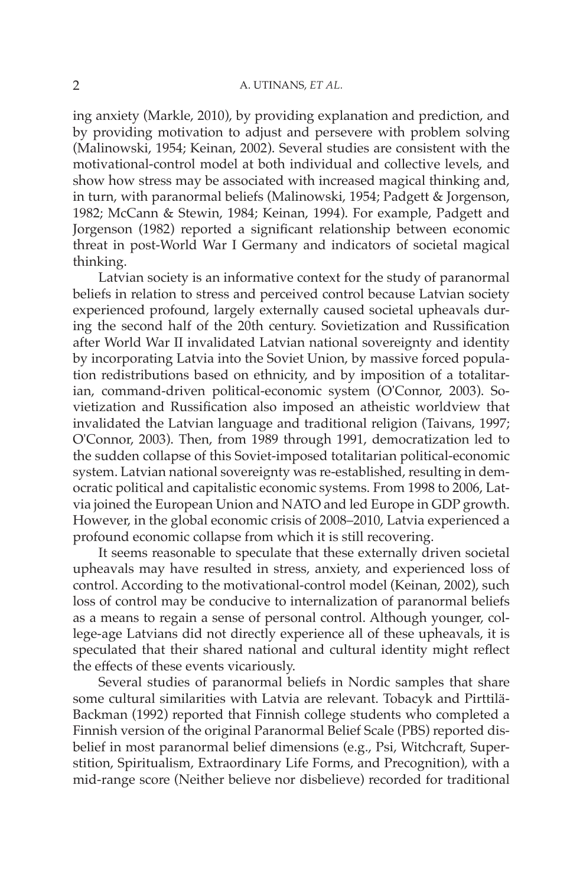ing anxiety (Markle, 2010), by providing explanation and prediction, and by providing motivation to adjust and persevere with problem solving (Malinowski, 1954; Keinan, 2002). Several studies are consistent with the motivational-control model at both individual and collective levels, and show how stress may be associated with increased magical thinking and, in turn, with paranormal beliefs (Malinowski, 1954; Padgett & Jorgenson, 1982; McCann & Stewin, 1984; Keinan, 1994). For example, Padgett and Jorgenson (1982) reported a significant relationship between economic threat in post-World War I Germany and indicators of societal magical thinking.

 Latvian society is an informative context for the study of paranormal beliefs in relation to stress and perceived control because Latvian society experienced profound, largely externally caused societal upheavals during the second half of the 20th century. Sovietization and Russification after World War II invalidated Latvian national sovereignty and identity by incorporating Latvia into the Soviet Union, by massive forced population redistributions based on ethnicity, and by imposition of a totalitarian, command-driven political-economic system (O'Connor, 2003). Sovietization and Russification also imposed an atheistic worldview that invalidated the Latvian language and traditional religion (Taivans, 1997; O'Connor, 2003). Then, from 1989 through 1991, democratization led to the sudden collapse of this Soviet-imposed totalitarian political-economic system. Latvian national sovereignty was re-established, resulting in democratic political and capitalistic economic systems. From 1998 to 2006, Latvia joined the European Union and NATO and led Europe in GDP growth. However, in the global economic crisis of 2008–2010, Latvia experienced a profound economic collapse from which it is still recovering.

 It seems reasonable to speculate that these externally driven societal upheavals may have resulted in stress, anxiety, and experienced loss of control. According to the motivational-control model (Keinan, 2002), such loss of control may be conducive to internalization of paranormal beliefs as a means to regain a sense of personal control. Although younger, college-age Latvians did not directly experience all of these upheavals, it is speculated that their shared national and cultural identity might reflect the effects of these events vicariously.

 Several studies of paranormal beliefs in Nordic samples that share some cultural similarities with Latvia are relevant. Tobacyk and Pirttilä-Backman (1992) reported that Finnish college students who completed a Finnish version of the original Paranormal Belief Scale (PBS) reported disbelief in most paranormal belief dimensions (e.g., Psi, Witchcraft, Superstition, Spiritualism, Extraordinary Life Forms, and Precognition), with a mid-range score (Neither believe nor disbelieve) recorded for traditional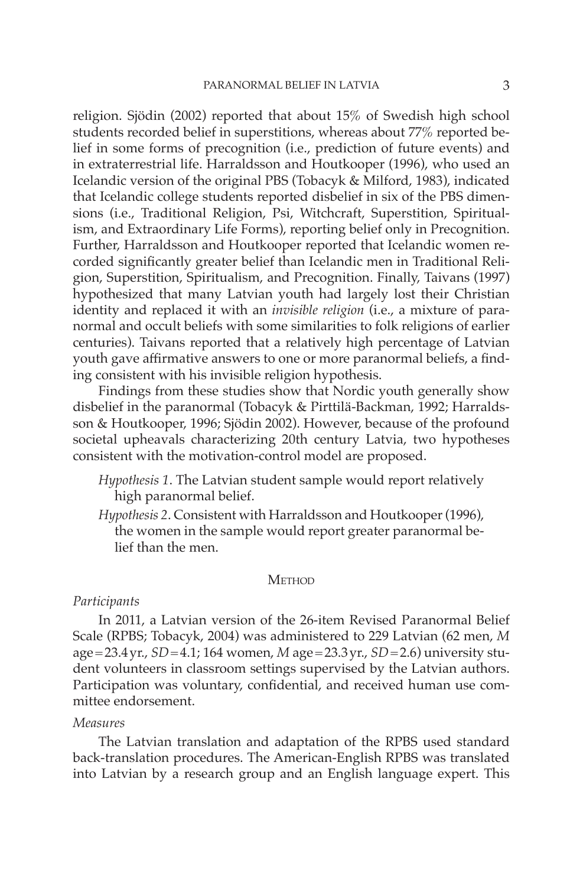religion. Sjödin (2002) reported that about 15% of Swedish high school students recorded belief in superstitions, whereas about 77% reported belief in some forms of precognition (i.e., prediction of future events) and in extraterrestrial life. Harraldsson and Houtkooper (1996), who used an Icelandic version of the original PBS (Tobacyk & Milford, 1983), indicated that Icelandic college students reported disbelief in six of the PBS dimensions (i.e., Traditional Religion, Psi, Witchcraft, Superstition, Spiritualism, and Extraordinary Life Forms), reporting belief only in Precognition. Further, Harraldsson and Houtkooper reported that Icelandic women recorded significantly greater belief than Icelandic men in Traditional Religion, Superstition, Spiritualism, and Precognition. Finally, Taivans (1997) hypothesized that many Latvian youth had largely lost their Christian identity and replaced it with an *invisible religion* (i.e., a mixture of paranormal and occult beliefs with some similarities to folk religions of earlier centuries). Taivans reported that a relatively high percentage of Latvian youth gave affirmative answers to one or more paranormal beliefs, a finding consistent with his invisible religion hypothesis.

 Findings from these studies show that Nordic youth generally show disbelief in the paranormal (Tobacyk & Pirttilä-Backman, 1992; Harraldsson & Houtkooper, 1996; Sjödin 2002). However, because of the profound societal upheavals characterizing 20th century Latvia, two hypotheses consistent with the motivation-control model are proposed.

- *Hypothesis 1* . The Latvian student sample would report relatively high paranormal belief.
- *Hypothesis 2.* Consistent with Harraldsson and Houtkooper (1996), the women in the sample would report greater paranormal belief than the men.

### **METHOD**

## *Participants*

 In 2011, a Latvian version of the 26-item Revised Paranormal Belief Scale (RPBS; Tobacyk, 2004) was administered to 229 Latvian (62 men, M age = 23.4 yr., *SD* = 4.1; 164 women, *M* age = 23.3 yr., *SD* = 2.6) university student volunteers in classroom settings supervised by the Latvian authors. Participation was voluntary, confidential, and received human use committee endorsement.

### *Measures*

 The Latvian translation and adaptation of the RPBS used standard back-translation procedures. The American-English RPBS was translated into Latvian by a research group and an English language expert. This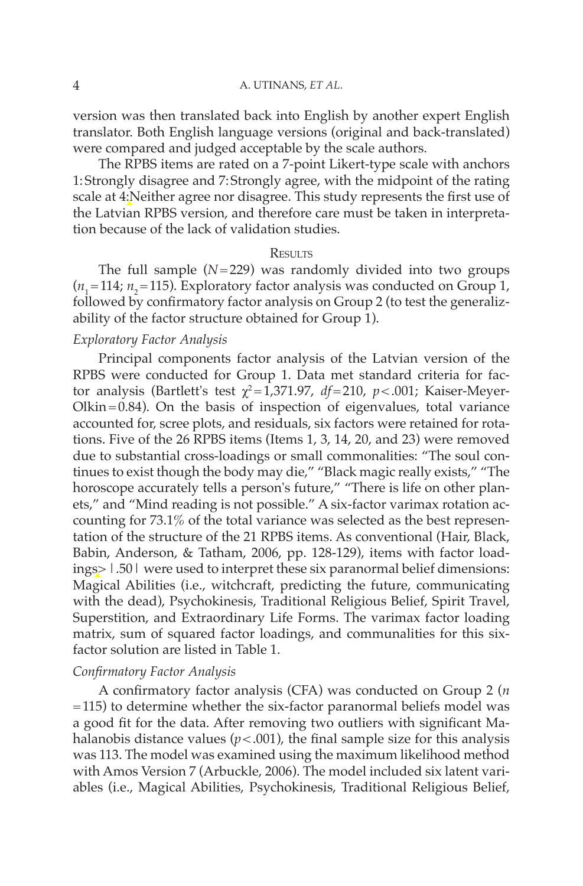#### 4 A. UTINANS, *ET AL.*

version was then translated back into English by another expert English translator. Both English language versions (original and back-translated) were compared and judged acceptable by the scale authors.

 The RPBS items are rated on a 7-point Likert-type scale with anchors 1: Strongly disagree and 7: Strongly agree, with the midpoint of the rating scale at 4:Neither agree nor disagree. This study represents the first use of the Latvian RPBS version, and therefore care must be taken in interpretation because of the lack of validation studies.

#### **RESULTS**

The full sample  $(N=229)$  was randomly divided into two groups  $(n_1=114; n_2=115)$ . Exploratory factor analysis was conducted on Group 1, followed by confirmatory factor analysis on Group 2 (to test the generalizability of the factor structure obtained for Group 1).

## *Exploratory Factor Analysis*

 Principal components factor analysis of the Latvian version of the RPBS were conducted for Group 1. Data met standard criteria for factor analysis (Bartlett's test  $\chi^2$ =1,371.97,  $df$ =210,  $p$ <.001; Kaiser-Meyer- $Olkin = 0.84$ ). On the basis of inspection of eigenvalues, total variance accounted for, scree plots, and residuals, six factors were retained for rotations. Five of the 26 RPBS items (Items 1, 3, 14, 20, and 23) were removed due to substantial cross-loadings or small commonalities: "The soul continues to exist though the body may die," "Black magic really exists," "The horoscope accurately tells a person's future," "There is life on other planets," and "Mind reading is not possible." A six-factor varimax rotation accounting for 73.1% of the total variance was selected as the best representation of the structure of the 21 RPBS items. As conventional (Hair, Black, Babin, Anderson, & Tatham, 2006, pp. 128-129), items with factor loadings> |.50| were used to interpret these six paranormal belief dimensions: Magical Abilities (i.e., witchcraft, predicting the future, communicating with the dead), Psychokinesis, Traditional Religious Belief, Spirit Travel, Superstition, and Extraordinary Life Forms. The varimax factor loading matrix, sum of squared factor loadings, and communalities for this sixfactor solution are listed in Table 1.

# *Confirmatory Factor Analysis*

A confirmatory factor analysis (CFA) was conducted on Group 2 (*n* = 115) to determine whether the six-factor paranormal beliefs model was a good fit for the data. After removing two outliers with significant Mahalanobis distance values  $(p < .001)$ , the final sample size for this analysis was 113. The model was examined using the maximum likelihood method with Amos Version 7 (Arbuckle, 2006). The model included six latent variables (i.e., Magical Abilities, Psychokinesis, Traditional Religious Belief,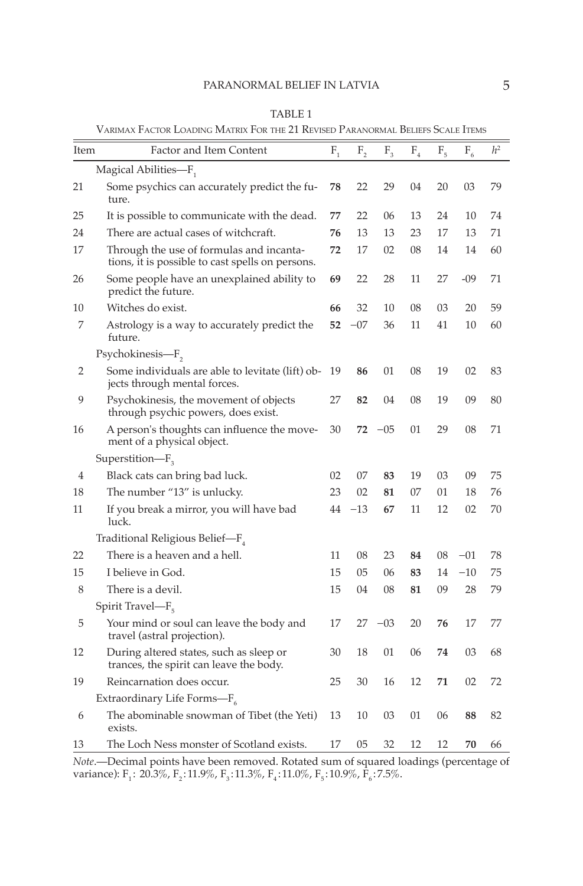#### PARANORMAL BELIEF IN LATVIA 5

|      | VARIMAX FACTOR LOADING MATRIX FOR THE 21 REVISED PARANORMAL BELIEFS SCALE ITEMS              |         |         |         |                             |         |         |                |  |
|------|----------------------------------------------------------------------------------------------|---------|---------|---------|-----------------------------|---------|---------|----------------|--|
| Item | Factor and Item Content                                                                      | $F_{1}$ | $F_{2}$ | $F_{3}$ | $F_{\scriptscriptstyle{4}}$ | $F_{5}$ | $F_{6}$ | h <sup>2</sup> |  |
|      | Magical Abilities-F <sub>1</sub>                                                             |         |         |         |                             |         |         |                |  |
| 21   | Some psychics can accurately predict the fu-<br>ture.                                        | 78      | 22      | 29      | 04                          | 20      | 03      | 79             |  |
| 25   | It is possible to communicate with the dead.                                                 | 77      | 22      | 06      | 13                          | 24      | 10      | 74             |  |
| 24   | There are actual cases of witchcraft.                                                        | 76      | 13      | 13      | 23                          | 17      | 13      | 71             |  |
| 17   | Through the use of formulas and incanta-<br>tions, it is possible to cast spells on persons. | 72      | 17      | 02      | 08                          | 14      | 14      | 60             |  |
| 26   | Some people have an unexplained ability to<br>predict the future.                            | 69      | 22      | 28      | 11                          | 27      | $-09$   | 71             |  |
| 10   | Witches do exist.                                                                            | 66      | 32      | 10      | 08                          | 03      | 20      | 59             |  |
| 7    | Astrology is a way to accurately predict the<br>future.                                      | 52      | $-07$   | 36      | 11                          | 41      | 10      | 60             |  |
|      | Psychokinesis-F <sub>2</sub>                                                                 |         |         |         |                             |         |         |                |  |
| 2    | Some individuals are able to levitate (lift) ob-<br>jects through mental forces.             | 19      | 86      | 01      | 08                          | 19      | 02      | 83             |  |
| 9    | Psychokinesis, the movement of objects<br>through psychic powers, does exist.                | 27      | 82      | 04      | 08                          | 19      | 09      | 80             |  |
| 16   | A person's thoughts can influence the move-<br>ment of a physical object.                    | 30      | 72      | $-05$   | 01                          | 29      | 08      | 71             |  |
|      | $Superstitution-F3$                                                                          |         |         |         |                             |         |         |                |  |
| 4    | Black cats can bring bad luck.                                                               | 02      | 07      | 83      | 19                          | 03      | 09      | 75             |  |
| 18   | The number "13" is unlucky.                                                                  | 23      | 02      | 81      | 07                          | 01      | 18      | 76             |  |
| 11   | If you break a mirror, you will have bad<br>luck.                                            | 44      | -13     | 67      | 11                          | 12      | 02      | 70             |  |
|      | Traditional Religious Belief-F <sub>4</sub>                                                  |         |         |         |                             |         |         |                |  |
| 22   | There is a heaven and a hell.                                                                | 11      | 08      | 23      | 84                          | 08      | $-01$   | 78             |  |
| 15   | I believe in God.                                                                            | 15      | 05      | 06      | 83                          | 14      | $-10$   | 75             |  |
| 8    | There is a devil.                                                                            | 15      | 04      | 08      | 81                          | 09      | 28      | 79             |  |
|      | Spirit Travel-F <sub>5</sub>                                                                 |         |         |         |                             |         |         |                |  |
| 5    | Your mind or soul can leave the body and<br>travel (astral projection).                      | 17      | 27      | $-03$   | 20                          | 76      | 17      | 77             |  |
| 12   | During altered states, such as sleep or<br>trances, the spirit can leave the body.           | 30      | 18      | 01      | 06                          | 74      | 03      | 68             |  |
| 19   | Reincarnation does occur.                                                                    | 25      | 30      | 16      | 12                          | 71      | 02      | 72             |  |
|      | Extraordinary Life Forms- $F_6$                                                              |         |         |         |                             |         |         |                |  |
| 6    | The abominable snowman of Tibet (the Yeti)<br>exists.                                        | 13      | 10      | 03      | 01                          | 06      | 88      | 82             |  |
| 13   | The Loch Ness monster of Scotland exists.                                                    | 17      | 05      | 32      | 12                          | 12      | 70      | 66             |  |

TABLE  $1 \text{ m}$ 

*Note* .—Decimal points have been removed. Rotated sum of squared loadings (percentage of variance):  $F_1$ : 20.3%,  $F_2$ :11.9%,  $F_3$ :11.3%,  $F_4$ :11.0%,  $F_5$ :10.9%,  $F_6$ :7.5%.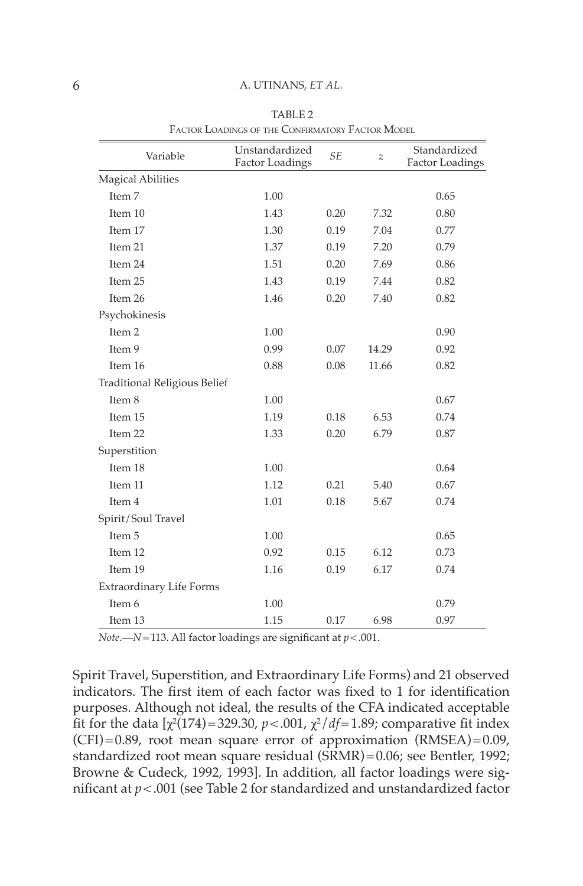| Variable                            | Unstandardized<br><b>Factor Loadings</b> | <b>SE</b> | Z     | Standardized<br><b>Factor Loadings</b> |  |  |
|-------------------------------------|------------------------------------------|-----------|-------|----------------------------------------|--|--|
| <b>Magical Abilities</b>            |                                          |           |       |                                        |  |  |
| Item 7                              | 1.00                                     |           |       | 0.65                                   |  |  |
| Item 10                             | 1.43                                     | 0.20      | 7.32  | 0.80                                   |  |  |
| Item 17                             | 1.30                                     | 0.19      | 7.04  | 0.77                                   |  |  |
| Item 21                             | 1.37                                     | 0.19      | 7.20  | 0.79                                   |  |  |
| Item 24                             | 1.51                                     | 0.20      | 7.69  | 0.86                                   |  |  |
| Item 25                             | 1.43                                     | 0.19      | 7.44  | 0.82                                   |  |  |
| Item 26                             | 1.46                                     | 0.20      | 7.40  | 0.82                                   |  |  |
| Psychokinesis                       |                                          |           |       |                                        |  |  |
| Item 2                              | 1.00                                     |           |       | 0.90                                   |  |  |
| Item 9                              | 0.99                                     | 0.07      | 14.29 | 0.92                                   |  |  |
| Item 16                             | 0.88                                     | 0.08      | 11.66 | 0.82                                   |  |  |
| <b>Traditional Religious Belief</b> |                                          |           |       |                                        |  |  |
| Item 8                              | 1.00                                     |           |       | 0.67                                   |  |  |
| Item 15                             | 1.19                                     | 0.18      | 6.53  | 0.74                                   |  |  |
| Item 22                             | 1.33                                     | 0.20      | 6.79  | 0.87                                   |  |  |
| Superstition                        |                                          |           |       |                                        |  |  |
| Item 18                             | 1.00                                     |           |       | 0.64                                   |  |  |
| Item 11                             | 1.12                                     | 0.21      | 5.40  | 0.67                                   |  |  |
| Item 4                              | 1.01                                     | 0.18      | 5.67  | 0.74                                   |  |  |
| Spirit/Soul Travel                  |                                          |           |       |                                        |  |  |
| Item 5                              | 1.00                                     |           |       | 0.65                                   |  |  |
| Item 12                             | 0.92                                     | 0.15      | 6.12  | 0.73                                   |  |  |
| Item 19                             | 1.16                                     | 0.19      | 6.17  | 0.74                                   |  |  |
| Extraordinary Life Forms            |                                          |           |       |                                        |  |  |
| Item 6                              | 1.00                                     |           |       | 0.79                                   |  |  |
| Item 13                             | 1.15                                     | 0.17      | 6.98  | 0.97                                   |  |  |

 TABLE 2 FACTOR LOADINGS OF THE CONFIRMATORY FACTOR MODEL

*Note* .—  $N = 113$ . All factor loadings are significant at  $p < .001$ .

Spirit Travel, Superstition, and Extraordinary Life Forms) and 21 observed indicators. The first item of each factor was fixed to 1 for identification purposes. Although not ideal, the results of the CFA indicated acceptable fit for the data  $[\chi^2(174) = 329.30, p < .001, \chi^2/df = 1.89$ ; comparative fit index  $(CFI) = 0.89$ , root mean square error of approximation  $(RMSEA) = 0.09$ , standardized root mean square residual (SRMR) = 0.06; see Bentler, 1992; Browne & Cudeck, 1992, 1993]. In addition, all factor loadings were significant at  $p < .001$  (see Table 2 for standardized and unstandardized factor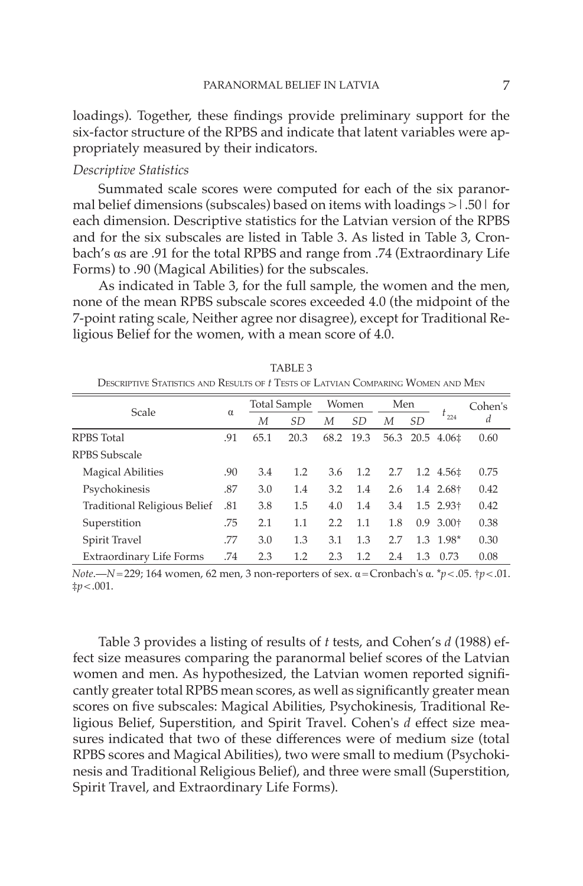loadings). Together, these findings provide preliminary support for the six-factor structure of the RPBS and indicate that latent variables were appropriately measured by their indicators.

## *Descriptive Statistics*

 Summated scale scores were computed for each of the six paranormal belief dimensions (subscales) based on items with loadings  $>1.50$  for each dimension. Descriptive statistics for the Latvian version of the RPBS and for the six subscales are listed in Table 3. As listed in Table 3, Cronbach's αs are .91 for the total RPBS and range from .74 (Extraordinary Life Forms) to .90 (Magical Abilities) for the subscales.

As indicated in Table 3, for the full sample, the women and the men, none of the mean RPBS subscale scores exceeded 4.0 (the midpoint of the 7-point rating scale, Neither agree nor disagree), except for Traditional Religious Belief for the women, with a mean score of 4.0.

| DESCRIPTIVE STATISTICS AND RESULTS OF THESTS OF LATVIAN COMPARING WOMEN AND IVIEN |          |                     |      |       |           |     |           |                         |         |
|-----------------------------------------------------------------------------------|----------|---------------------|------|-------|-----------|-----|-----------|-------------------------|---------|
| Scale                                                                             | $\alpha$ | <b>Total Sample</b> |      | Women |           | Men |           |                         | Cohen's |
|                                                                                   |          | М                   | SD.  | М     | SD.       | М   | SD.       | $t_{224}$               | d       |
| <b>RPBS</b> Total                                                                 |          | 65.1                | 20.3 |       | 68.2 19.3 |     | 56.3 20.5 | $4.06\pm$               | 0.60    |
| RPBS Subscale                                                                     |          |                     |      |       |           |     |           |                         |         |
| <b>Magical Abilities</b>                                                          |          | 3.4                 | 1.2  | 3.6   | 1.2       | 2.7 | 1.2       | 4.56‡                   | 0.75    |
| Psychokinesis                                                                     | .87      | 3.0                 | 1.4  | 3.2   | 1.4       | 2.6 |           | 1.4 2.68+               | 0.42    |
| Traditional Religious Belief                                                      | .81      | 3.8                 | 1.5  | 4.0   | 1.4       | 3.4 |           | $1.5$ 2.93 <sup>+</sup> | 0.42    |
| Superstition                                                                      | .75      | 2.1                 | 1.1  | 2.2   | 1.1       | 1.8 |           | $0.9, 3.00\dagger$      | 0.38    |
| Spirit Travel                                                                     | .77      | 3.0                 | 1.3  | 3.1   | 1.3       | 2.7 |           | $1.3$ 1.98*             | 0.30    |
| Extraordinary Life Forms                                                          | .74      | 2.3                 | 1.2  | 2.3   | 1.2       | 2.4 | 1.3       | 0.73                    | 0.08    |

 TABLE 3 DESCRIPTIVE STATISTICS AND RESULTS OF *t* TESTS OF LATVIAN COMPARING WOMEN AND MENT

*Note* .— *N* = 229; 164 women, 62 men, 3 non-reporters of sex. α = Cronbach's α. \* *p* < .05. †*p* < .01.  $\sharp p < .001$ .

 Table 3 provides a listing of results of *t* tests, and Cohen's *d* (1988) effect size measures comparing the paranormal belief scores of the Latvian women and men. As hypothesized, the Latvian women reported significantly greater total RPBS mean scores, as well as significantly greater mean scores on five subscales: Magical Abilities, Psychokinesis, Traditional Religious Belief, Superstition, and Spirit Travel. Cohen's *d* effect size measures indicated that two of these differences were of medium size (total RPBS scores and Magical Abilities), two were small to medium (Psychokinesis and Traditional Religious Belief), and three were small (Superstition, Spirit Travel, and Extraordinary Life Forms).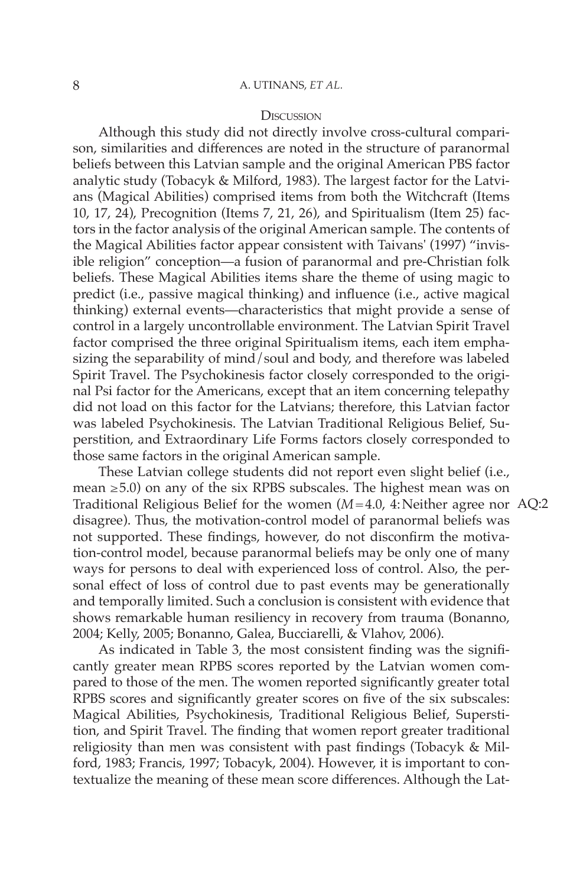#### **DISCUSSION**

 Although this study did not directly involve cross-cultural comparison, similarities and differences are noted in the structure of paranormal beliefs between this Latvian sample and the original American PBS factor analytic study (Tobacyk & Milford, 1983). The largest factor for the Latvians (Magical Abilities) comprised items from both the Witchcraft (Items 10, 17, 24), Precognition (Items 7, 21, 26), and Spiritualism (Item 25) factors in the factor analysis of the original American sample. The contents of the Magical Abilities factor appear consistent with Taivans' (1997) "invisible religion" conception—a fusion of paranormal and pre-Christian folk beliefs. These Magical Abilities items share the theme of using magic to predict (i.e., passive magical thinking) and influence (i.e., active magical thinking) external events—characteristics that might provide a sense of control in a largely uncontrollable environment. The Latvian Spirit Travel factor comprised the three original Spiritualism items, each item emphasizing the separability of mind/soul and body, and therefore was labeled Spirit Travel. The Psychokinesis factor closely corresponded to the original Psi factor for the Americans, except that an item concerning telepathy did not load on this factor for the Latvians; therefore, this Latvian factor was labeled Psychokinesis. The Latvian Traditional Religious Belief, Superstition, and Extraordinary Life Forms factors closely corresponded to those same factors in the original American sample.

 These Latvian college students did not report even slight belief (i.e., mean  $\geq$  5.0) on any of the six RPBS subscales. The highest mean was on Traditional Religious Belief for the women (*M* = 4.0, 4: Neither agree nor AQ:2 disagree). Thus, the motivation-control model of paranormal beliefs was not supported. These findings, however, do not disconfirm the motivation-control model, because paranormal beliefs may be only one of many ways for persons to deal with experienced loss of control. Also, the personal effect of loss of control due to past events may be generationally and temporally limited. Such a conclusion is consistent with evidence that shows remarkable human resiliency in recovery from trauma (Bonanno, 2004; Kelly, 2005; Bonanno, Galea, Bucciarelli, & Vlahov, 2006).

As indicated in Table 3, the most consistent finding was the significantly greater mean RPBS scores reported by the Latvian women compared to those of the men. The women reported significantly greater total RPBS scores and significantly greater scores on five of the six subscales: Magical Abilities, Psychokinesis, Traditional Religious Belief, Superstition, and Spirit Travel. The finding that women report greater traditional religiosity than men was consistent with past findings (Tobacyk & Milford, 1983; Francis, 1997; Tobacyk, 2004). However, it is important to contextualize the meaning of these mean score differences. Although the Lat-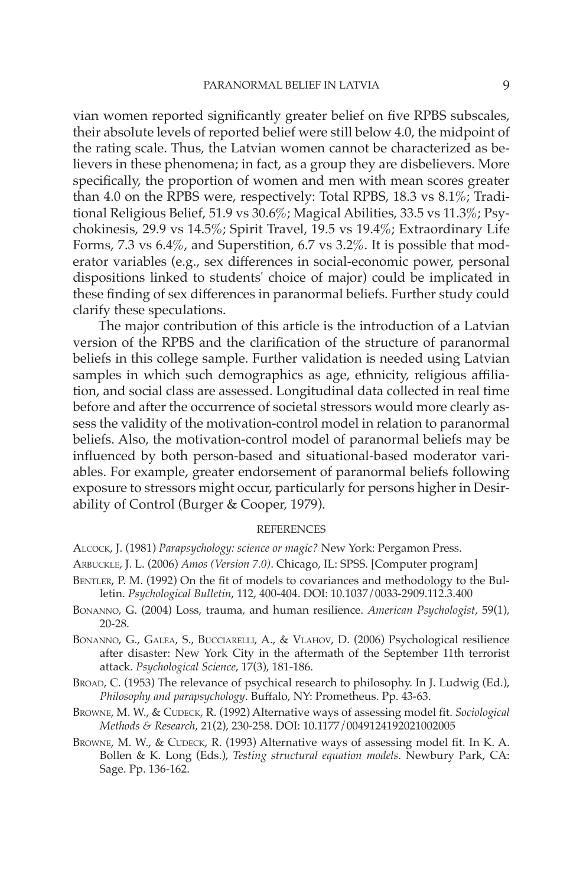vian women reported significantly greater belief on five RPBS subscales, their absolute levels of reported belief were still below 4.0, the midpoint of the rating scale. Thus, the Latvian women cannot be characterized as believers in these phenomena; in fact, as a group they are disbelievers. More specifically, the proportion of women and men with mean scores greater than 4.0 on the RPBS were, respectively: Total RPBS, 18.3 vs 8.1%; Traditional Religious Belief, 51.9 vs 30.6%; Magical Abilities, 33.5 vs 11.3%; Psychokinesis, 29.9 vs 14.5%; Spirit Travel, 19.5 vs 19.4%; Extraordinary Life Forms, 7.3 vs 6.4%, and Superstition, 6.7 vs 3.2%. It is possible that moderator variables (e.g., sex differences in social-economic power, personal dispositions linked to students' choice of major) could be implicated in these finding of sex differences in paranormal beliefs. Further study could clarify these speculations.

 The major contribution of this article is the introduction of a Latvian version of the RPBS and the clarification of the structure of paranormal beliefs in this college sample. Further validation is needed using Latvian samples in which such demographics as age, ethnicity, religious affiliation, and social class are assessed. Longitudinal data collected in real time before and after the occurrence of societal stressors would more clearly assess the validity of the motivation-control model in relation to paranormal beliefs. Also, the motivation-control model of paranormal beliefs may be influenced by both person-based and situational-based moderator variables. For example, greater endorsement of paranormal beliefs following exposure to stressors might occur, particularly for persons higher in Desirability of Control (Burger & Cooper, 1979).

#### REFERENCES

ALCOCK, J. (1981) *Parapsychology: science or magic?* New York: Pergamon Press.

- ARBUCKLE, J. L. (2006) *Amos (Version 7.0)*. Chicago, IL: SPSS. [Computer program]
- BENTLER, P. M. (1992) On the fit of models to covariances and methodology to the Bulletin. Psychological Bulletin, 112, 400-404. DOI: 10.1037 / 0033-2909.112.3.400
- BONANNO, G. (2004) Loss, trauma, and human resilience. American Psychologist, 59(1),  $20 - 28$ .
- BONANNO, G., GALEA, S., BUCCIARELLI, A., & VLAHOV, D. (2006) Psychological resilience after disaster: New York City in the aftermath of the September 11th terrorist attack. Psychological Science, 17(3), 181-186.
- BROAD, C. (1953) The relevance of psychical research to philosophy. In J. Ludwig (Ed.), Philosophy and parapsychology. Buffalo, NY: Prometheus. Pp. 43-63.
- BROWNE, M. W., & CUDECK, R. (1992) Alternative ways of assessing model fit. *Sociological Methods & Research, 21(2), 230-258. DOI: 10.1177 / 0049124192021002005*
- BROWNE, M. W., & CUDECK, R. (1993) Alternative ways of assessing model fit. In K. A. Bollen & K. Long (Eds.), *Testing structural equation models* . Newbury Park, CA : Sage. Pp. 136-162.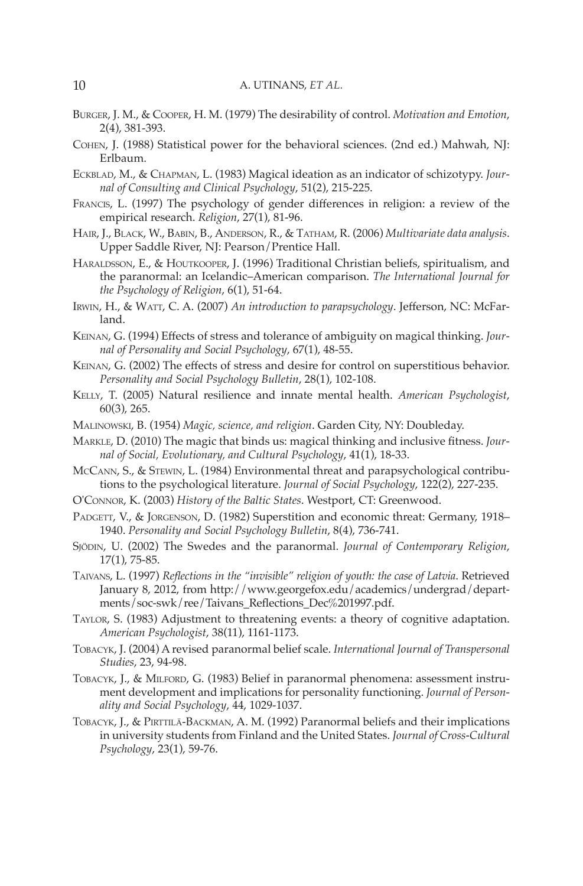#### 10 A. UTINANS, *ET AL.*

- BURGER , J. M. , & COOPER , H. M. ( 1979 ) The desirability of control . *Motivation and Emotion* , 2(4), 381-393.
- COHEN, J. (1988) Statistical power for the behavioral sciences. (2nd ed.) Mahwah, NJ: Erlbaum.
- ECKBLAD, M., & CHAPMAN, L. (1983) Magical ideation as an indicator of schizotypy. *Jour*nal of Consulting and Clinical Psychology, 51(2), 215-225.
- FRANCIS, L. (1997) The psychology of gender differences in religion: a review of the empirical research. *Religion*, 27(1), 81-96.
- HAIR, J., BLACK, W., BABIN, B., ANDERSON, R., & TATHAM, R. (2006) *Multivariate data analysis*. Upper Saddle River, NJ: Pearson/Prentice Hall.
- HARALDSSON, E., & HOUTKOOPER, J. (1996) Traditional Christian beliefs, spiritualism, and the paranormal: an Icelandic–American comparison . *The International Journal for the Psychology of Religion*, 6(1), 51-64.
- IRWIN, H., & WATT, C. A. (2007) *An introduction to parapsychology*. Jefferson, NC: McFarland.
- KEINAN, G. (1994) Effects of stress and tolerance of ambiguity on magical thinking. *Jour*nal of Personality and Social Psychology, 67(1), 48-55.
- KEINAN, G. (2002) The effects of stress and desire for control on superstitious behavior. Personality and Social Psychology Bulletin, 28(1), 102-108.
- KELLY, T. (2005) Natural resilience and innate mental health. American Psychologist,  $60(3)$ , 265.
- MALINOWSKI, B. (1954) *Magic, science, and religion*. Garden City, NY: Doubleday.
- MARKLE, D. (2010) The magic that binds us: magical thinking and inclusive fitness. *Journal of Social, Evolutionary, and Cultural Psychology* , 41 ( 1 ), 18 - 33 .
- McCANN, S., & STEWIN, L. (1984) Environmental threat and parapsychological contributions to the psychological literature. *Journal of Social Psychology*, 122(2), 227-235.
- O'CONNOR , K. ( 2003 ) *History of the Baltic States* . Westport, CT : Greenwood .
- PADGETT, V., & JORGENSON, D. (1982) Superstition and economic threat: Germany, 1918– 1940. Personality and Social Psychology Bulletin, 8(4), 736-741.
- SJÖDIN, U. (2002) The Swedes and the paranormal. *Journal of Contemporary Religion*,  $17(1)$ , 75-85.
- TAIVANS, L. (1997) *Reflections in the "invisible" religion of youth: the case of Latvia*. Retrieved January 8, 2012, from http://www.georgefox.edu/academics/undergrad/departments/soc-swk/ree/Taivans\_Reflections\_Dec%201997.pdf.
- TAYLOR , S. ( 1983 ) Adjustment to threatening events: a theory of cognitive adaptation . *American Psychologist* , 38 ( 11 ), 1161 - 1173 .
- TOBACYK , J. ( 2004 ) A revised paranormal belief scale . *International Journal of Transpersonal*  Studies, 23, 94-98.
- TOBACYK, J., & MILFORD, G. (1983) Belief in paranormal phenomena: assessment instrument development and implications for personality functioning . *Journal of Person*ality and Social Psychology, 44, 1029-1037.
- TOBACYK, J., & PIRTTILÄ-BACKMAN, A. M. (1992) Paranormal beliefs and their implications in university students from Finland and the United States . *Journal of Cross-Cultural*  Psychology, 23(1), 59-76.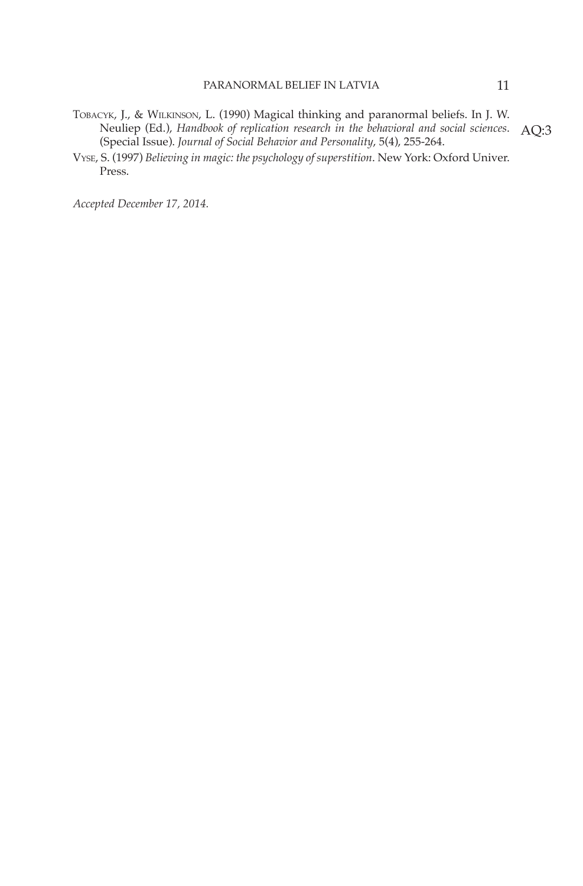- TOBACYK, J., & WILKINSON, L. (1990) Magical thinking and paranormal beliefs. In J. W. Neuliep (Ed.), *Handbook of replication research in the behavioral and social sciences* . Neuliep (Ed.), Handbook of replication research in the behavioral and social sciences.  $\rm AQ:3$ <br>(Special Issue). Journal of Social Behavior and Personality, 5(4), 255-264.
- VYSE , S. ( 1997 ) *Believing in magic: the psychology of superstition* . New York : Oxford Univer. Press.

 *Accepted December 17 , 2014 .*